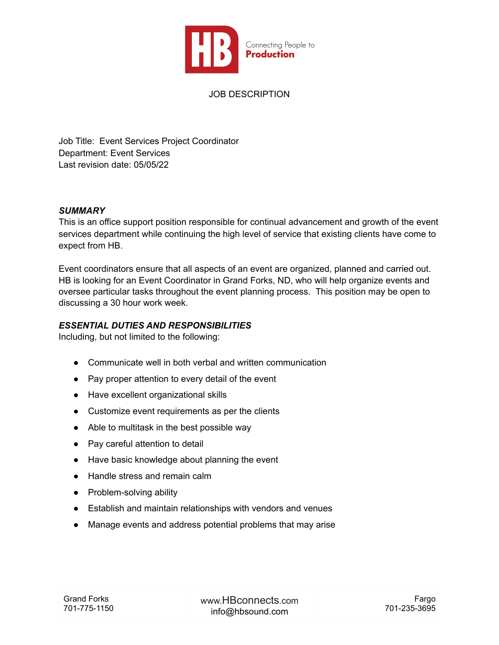

JOB DESCRIPTION

Job Title: Event Services Project Coordinator Department: Event Services Last revision date: 05/05/22

#### *SUMMARY*

This is an office support position responsible for continual advancement and growth of the event services department while continuing the high level of service that existing clients have come to expect from HB.

Event coordinators ensure that all aspects of an event are organized, planned and carried out. HB is looking for an Event Coordinator in Grand Forks, ND, who will help organize events and oversee particular tasks throughout the event planning process. This position may be open to discussing a 30 hour work week.

#### *ESSENTIAL DUTIES AND RESPONSIBILITIES*

Including, but not limited to the following:

- Communicate well in both verbal and written communication
- Pay proper attention to every detail of the event
- Have excellent organizational skills
- Customize event requirements as per the clients
- Able to multitask in the best possible way
- Pay careful attention to detail
- Have basic knowledge about planning the event
- Handle stress and remain calm
- Problem-solving ability
- Establish and maintain relationships with vendors and venues
- Manage events and address potential problems that may arise